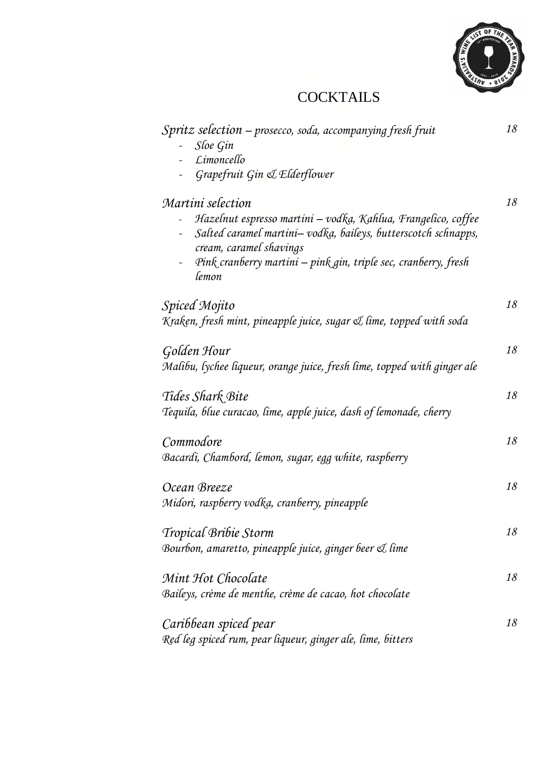

# **COCKTAILS**

| Spritz selection - prosecco, soda, accompanying fresh fruit<br>Sloe Gin<br>Limoncello                                                                     | 18 |
|-----------------------------------------------------------------------------------------------------------------------------------------------------------|----|
| Grapefruit Gin & Elderflower                                                                                                                              |    |
| Martini selection                                                                                                                                         | 18 |
| Hazelnut espresso martini – vodka, Kahlua, Frangelico, coffee<br>Salted caramel martini-vodka, baileys, butterscotch schnapps,<br>cream, caramel shavings |    |
| Pink cranberry martini - pink gin, triple sec, cranberry, fresh<br>lemon                                                                                  |    |
| Spiced Mojito                                                                                                                                             | 18 |
| Kraken, fresh mint, pineapple juice, sugar & lime, topped with soda                                                                                       |    |
| Golden Hour                                                                                                                                               | 18 |
| Malibu, lychee liqueur, orange juice, fresh lime, topped with ginger ale                                                                                  |    |
| Tides Shark Bite                                                                                                                                          | 18 |
| Tequila, blue curacao, lime, apple juice, dash of lemonade, cherry                                                                                        |    |
| Commodore                                                                                                                                                 | 18 |
| Bacardi, Chambord, lemon, sugar, egg white, raspberry                                                                                                     |    |
| Ocean Breeze                                                                                                                                              | 18 |
| Midori, raspberry vodka, cranberry, pineapple                                                                                                             |    |
| Tropical Bribie Storm                                                                                                                                     | 18 |
| Bourbon, amaretto, pineapple juice, ginger beer & lime                                                                                                    |    |
| Mint Hot Chocolate                                                                                                                                        | 18 |
| Baileys, crème de menthe, crème de cacao, hot chocolate                                                                                                   |    |
| Caribbean spiced pear                                                                                                                                     | 18 |
| Red leg spiced rum, pear liqueur, ginger ale, lime, bitters                                                                                               |    |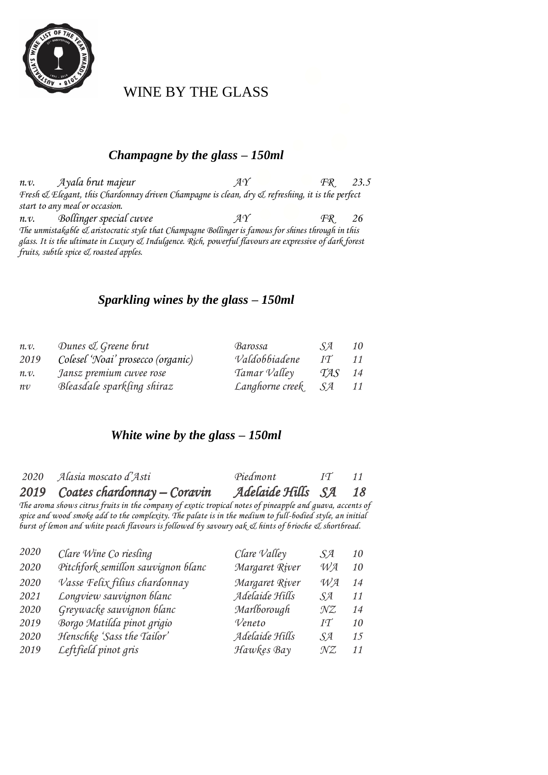

WINE BY THE GLASS

#### *Champagne by the glass – 150ml*

*n.v. Ayala brut majeur AY FR 23.5 Fresh & Elegant, this Chardonnay driven Champagne is clean, dry & refreshing, it is the perfect start to any meal or occasion. n.v. Bollinger special cuvee AY FR 26 The unmistakable & aristocratic style that Champagne Bollinger is famous for shines through in this glass. It is the ultimate in Luxury & Indulgence. Rich, powerful flavours are expressive of dark forest fruits, subtle spice & roasted apples.*

#### *Sparkling wines by the glass – 150ml*

| n.v. | Dunes & Greene brut               | Barossa         | .SA            | 10 |
|------|-----------------------------------|-----------------|----------------|----|
| 2019 | Colesel 'Noai' prosecco (organic) | Valdobbiadene   | $I\mathcal{T}$ | 11 |
| n.v. | Jansz premium cuvee rose          | Tamar Valley    | TAS            | 14 |
| n v  | Bleasdale sparkling shiraz        | Langhorne creek | -SA            | 11 |

#### *White wine by the glass – 150ml*

| 2020 Alasia moscato d'Asti       | Piedmont             | $I\mathcal{T}$ | 11 |
|----------------------------------|----------------------|----------------|----|
| 2019 Coates chardonnay – Coravin | Adelaide Hills SA 18 |                |    |

*The aroma shows citrus fruits in the company of exotic tropical notes of pineapple and guava, accents of spice and wood smoke add to the complexity. The palate is in the medium to full-bodied style, an initial burst of lemon and white peach flavours is followed by savoury oak & hints of brioche & shortbread.*

| 2020 | Clare Wine Co riesling             | Clare Valley   | SA             | 10 |
|------|------------------------------------|----------------|----------------|----|
| 2020 | Pitchfork semillon sauvignon blanc | Margaret River | $W\!A$         | 10 |
| 2020 | Vasse Felix filius chardonnay      | Margaret River | $W\mathcal{A}$ | 14 |
| 2021 | Longview sauvignon blanc           | Adelaide Hills | SA.            | 11 |
| 2020 | Greywacke sauvignon blanc          | Marlborough    | $\mathcal{NZ}$ | 14 |
| 2019 | Borgo Matilda pinot grigio         | Veneto         | IT             | 10 |
| 2020 | Henschke 'Sass the Tailor'         | Adelaide Hills | SA.            | 15 |
| 2019 | Leftfield pinot gris               | Hawkes Bay     | $\mathcal{NZ}$ | 11 |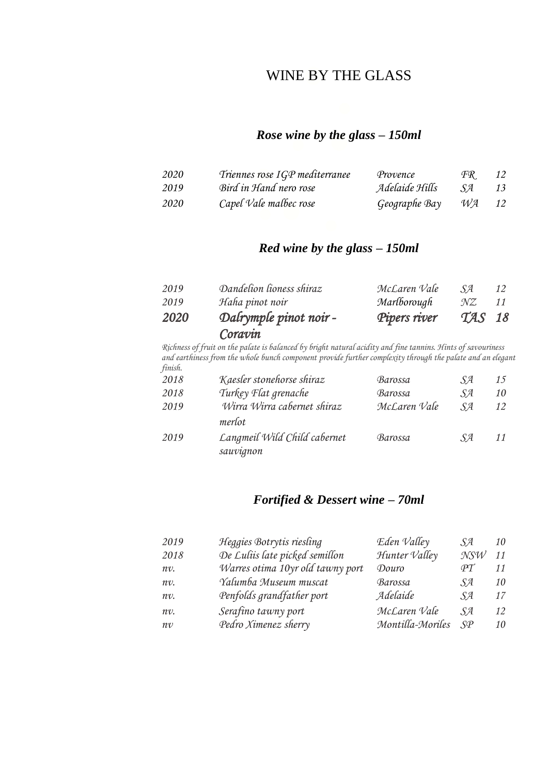#### WINE BY THE GLASS

#### *Rose wine by the glass – 150ml*

| 2020 | Triennes rose IGP mediterranee | Provence       | ŦК   | 12 |
|------|--------------------------------|----------------|------|----|
| 2019 | Bird in Hand nero rose         | Adelaide Hills | - SA | 13 |
| 2020 | Capel Vale malbec rose         | Geographe Bay  | WA   | 12 |

#### *Red wine by the glass – 150ml*

| 2020 | Dalrymple pinot noir -<br>Coravin | Pipers river | TAS 18 |    |
|------|-----------------------------------|--------------|--------|----|
| 2019 | Haha pinot noir                   | Marlborough  | NZ.    | 11 |
|      |                                   |              |        |    |
| 2019 | Dandelion lioness shiraz          | McLaren Vale | S4     | 12 |

*Richness of fruit on the palate is balanced by bright natural acidity and fine tannins. Hints of savouriness and earthiness from the whole bunch component provide further complexity through the palate and an elegant finish.*

| 2018 | Kaesler stonehorse shiraz                 | Barossa      | .SA               | 15 |
|------|-------------------------------------------|--------------|-------------------|----|
| 2018 | Turkey Flat grenache                      | Barossa      | $S_{\mathcal{A}}$ | 10 |
| 2019 | Wirra Wirra cabernet shiraz<br>merlot     | McLaren Vale | $S\mathcal{A}$    | 12 |
| 2019 | Langmeil Wild Child cabernet<br>sauvignon | Barossa      | .SA               | 11 |

#### *Fortified & Dessert wine – 70ml*

| 2019    | Heggies Botrytis riesling        | Eden Valley      | SA              | 10 |
|---------|----------------------------------|------------------|-----------------|----|
| 2018    | De Luliis late picked semillon   | Hunter Valley    | $\mathcal{NSW}$ | 11 |
| $nv$ .  | Warres otima 10yr old tawny port | Douro            | $\mathcal{PT}$  | 11 |
| $n v$ . | Yalumba Museum muscat            | Barossa          | SA.             | 10 |
| $nv$ .  | Penfolds grandfather port        | Adelaide         | SA.             | 17 |
| $n v$ . | Serafino tawny port              | McLaren Vale     | SA.             | 12 |
| n v     | Pedro Ximenez sherry             | Montilla-Moriles | $S\mathcal{P}$  | 10 |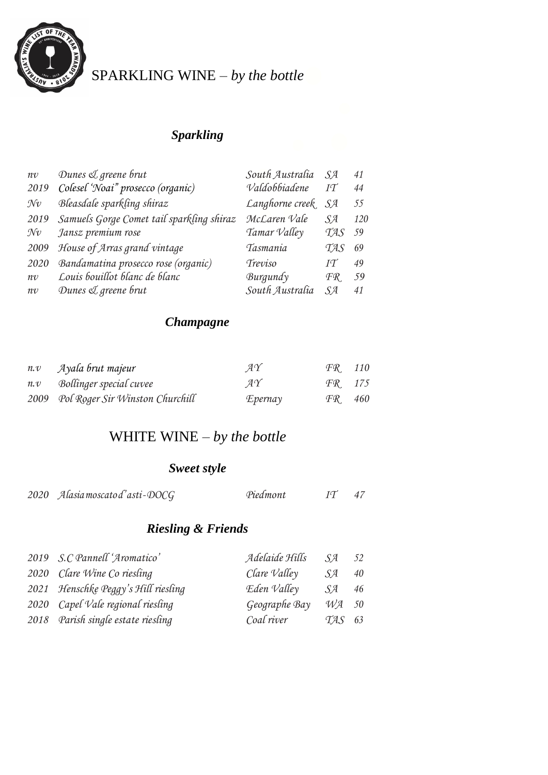

# SPARKLING WINE – *by the bottle*

#### *Sparkling*

| n v            | Dunes & greene brut                       | South Australia | $S_{A}$          | 41  |
|----------------|-------------------------------------------|-----------------|------------------|-----|
| 2019           | Colesel 'Noai" prosecco (organic)         | Valdobbiadene   | $I\mathcal{T}$   | 44  |
| $\mathcal{N}v$ | Bleasdale sparkling shiraz                | Langhorne creek | SA               | 55  |
| 2019           | Samuels Gorge Comet tail sparkling shiraz | McLaren Vale    | $S_{A}$          | 120 |
| $\mathcal{N}v$ | Jansz premium rose                        | Tamar Valley    | <b>TAS</b>       | 59  |
| 2009           | House of Arras grand vintage              | Tasmania        | TAS              | 69  |
| 2020           | Bandamatina prosecco rose (organic)       | Treviso         | $I\mathcal{T}$   | 49  |
| n v            | Louis bouillot blanc de blanc             | Burgundy        | $\mathcal{FR}_1$ | 59  |
| $n\mathcal{V}$ | Dunes & greene brut                       | South Australia | $S_{A}$          | 41  |

#### *Champagne*

| $n.v$ Ayala brut majeur              | $\mathcal{A}\mathcal{Y}$ | FR 110 |  |
|--------------------------------------|--------------------------|--------|--|
| n.v Bollinger special cuvee          | $A\Upsilon$              | FR 175 |  |
| 2009 Pol Roger Sir Winston Churchill | Epernay                  | FR 460 |  |

#### WHITE WINE – *by the bottle*

#### *Sweet style*

| 2020 Alasia moscato d'asti-DOCG | Piedmont | 47 |
|---------------------------------|----------|----|
|                                 |          |    |

#### *Riesling & Friends*

| 2019 S.C Pannell 'Aromatico'        | Adelaide Hills        | SA                | 52 |
|-------------------------------------|-----------------------|-------------------|----|
| 2020 Clare Wine Co riesling         | $Clare$ <i>Valley</i> | SA                | 40 |
| 2021 Henschke Peggy's Hill riesling | Eden Valley           | <i>SA</i>         | 46 |
| 2020 Capel Vale regional riesling   | Geographe Bay         | $W\mathcal{A}$ 50 |    |
| 2018 Parish single estate riesling  | Coal river            | $TAS$ 63          |    |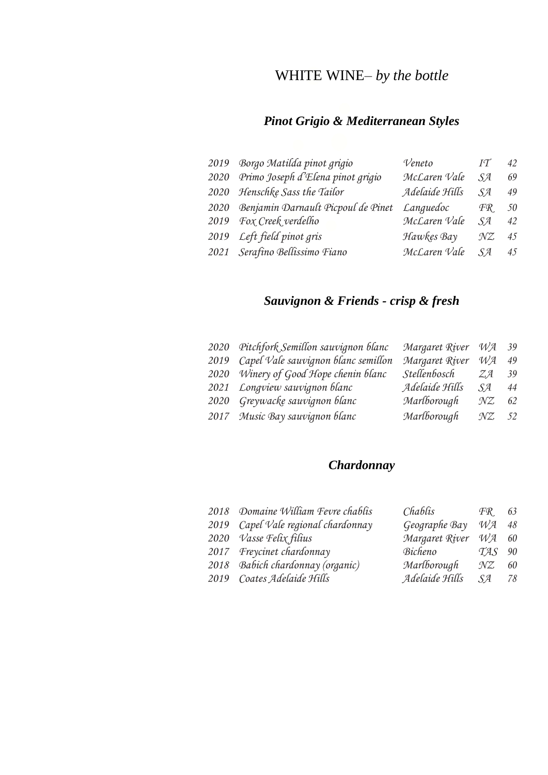# WHITE WINE– *by the bottle*

#### *Pinot Grigio & Mediterranean Styles*

| 2019 Borgo Matilda pinot grigio         | Veneto         | $I\mathcal{T}$ | 42 |
|-----------------------------------------|----------------|----------------|----|
| 2020 Primo Joseph d'Elena pinot grigio  | McLaren Vale   | $S_{A}$        | 69 |
| 2020 Henschke Sass the Tailor           | Adelaide Hills | $S_{A}$        | 49 |
| 2020 Benjamin Darnault Picpoul de Pinet | Languedoc      | FR.            | 50 |
| 2019 Fox Creek verdelho                 | McLaren Vale   | $S_{A}$        | 42 |
| 2019 Left field pinot gris              | Hawkes Bay     | $\mathcal{NZ}$ | 45 |
| 2021 Serafino Bellissimo Fiano          | McLaren Vale   | $S_{A}$        | 45 |

# *Sauvignon & Friends - crisp & fresh*

| 2020 Pitchfork Semillon sauvignon blanc  | Margaret River |                |                                        |
|------------------------------------------|----------------|----------------|----------------------------------------|
| 2019 Capel Vale sauvignon blanc semillon | Margaret River | $W\!A$         | 49                                     |
| 2020 Winery of Good Hope chenin blanc    | Stellenbosch   | $Z\mathcal{A}$ | 39                                     |
| 2021 Longview sauvignon blanc            | Adelaide Hills | <i>SA</i>      | 44                                     |
| 2020 Greywacke sauvignon blanc           | Marlborough    | $\mathcal{NZ}$ | 62                                     |
| 2017 Music Bay sauvignon blanc           | Marlborough    |                |                                        |
|                                          |                |                | $W\mathcal{A}$ 39<br>$\mathcal{N}Z$ 52 |

#### *Chardonnay*

| 2018 Domaine William Fevre chablis  | Chablis              | $\mathcal{FR}$    | 63 |
|-------------------------------------|----------------------|-------------------|----|
| 2019 Capel Vale regional chardonnay | Geographe Bay        | $W\mathcal{A}$ 48 |    |
| 2020 Vasse Felix filius             | Margaret River WA 60 |                   |    |
| 2017 Freycinet chardonnay           | Bicheno              | TAS               | 90 |
| 2018 Babich chardonnay (organic)    | Marlborough          | NZ                | 60 |
| 2019 Coates Adelaide Hills          | Adelaide Hills       | SA                | 78 |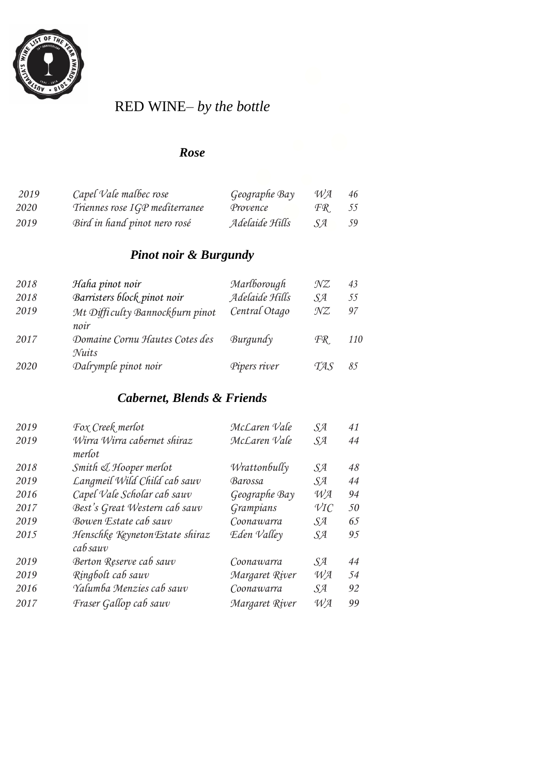

# RED WINE– *by the bottle*

#### *Rose*

| 2019 | Capel Vale malbec rose         | Geographe Bay  | WA.  | 46 |
|------|--------------------------------|----------------|------|----|
| 2020 | Triennes rose IGP mediterranee | Provence       | FR   | 55 |
| 2019 | Bird in hand pinot nero rosé   | Adelaide Hills | .S A | 59 |

#### *Pinot noir & Burgundy*

| 2018 | Haha pinot noir                 | Marlborough    | $\mathcal{NZ}$ | 43         |
|------|---------------------------------|----------------|----------------|------------|
| 2018 | Barristers block pinot noir     | Adelaide Hills | $S_{A}$        | 55         |
| 2019 | Mt Difficulty Bannockburn pinot | Central Otago  | $\mathcal{NZ}$ | 97         |
|      | noir                            |                |                |            |
| 2017 | Domaine Cornu Hautes Cotes des  | Burgundy       | FR.            | <i>110</i> |
|      | Nuits                           |                |                |            |
| 2020 | Dalrymple pinot noir            | Pipers river   | TAS            | 85         |

#### *Cabernet, Blends & Friends*

| 2019 | Fox Creek merlot                            | McLaren Vale   | SA               | 41 |
|------|---------------------------------------------|----------------|------------------|----|
| 2019 | Wirra Wirra cabernet shiraz<br>merlot       | McLaren Vale   | SA               | 44 |
| 2018 | Smith & Hooper merlot                       | Wrattonbully   | SЯ               | 48 |
| 2019 | Langmeil Wild Child cab sauv                | Barossa        | SЯ               | 44 |
| 2016 | Capel Vale Scholar cab sauv                 | Geographe Bay  | $W\!A$           | 94 |
| 2017 | Best's Great Western cab sauv               | Grampians      | $\mathcal{V}$ IC | 50 |
| 2019 | Bowen Estate cab sauv                       | Coonawarra     | SA               | 65 |
| 2015 | Henschke Keyneton Estate shiraz<br>cab sauv | Eden Valley    | SЯ               | 95 |
| 2019 | Berton Reserve cab sauv                     | Coonawarra     | SЯ               | 44 |
| 2019 | Ringbolt cab sauv                           | Margaret River | $W\!A$           | 54 |
| 2016 | Yalumba Menzies cab sauv                    | Coonawarra     | SЯ               | 92 |
| 2017 | Fraser Gallop cab sauv                      | Margaret River | $W\!A$           | 99 |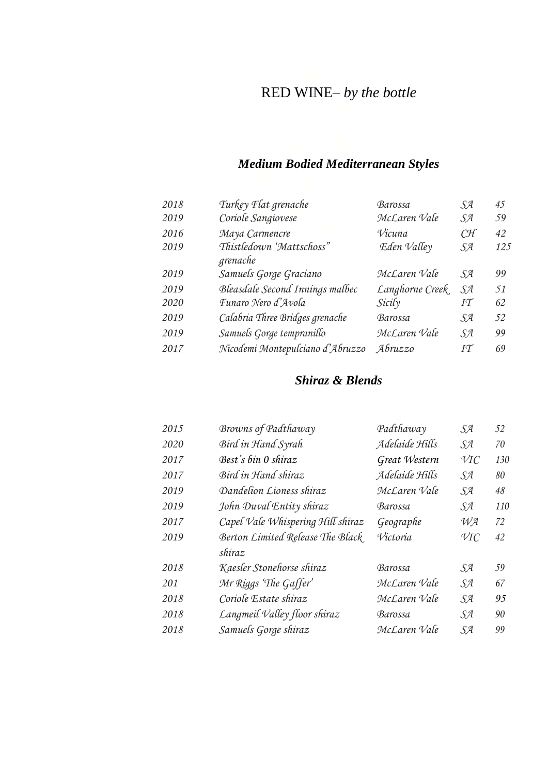# RED WINE– *by the bottle*

#### *Medium Bodied Mediterranean Styles*

| 2018 | Turkey Flat grenache                 | Barossa         | SA | 45  |
|------|--------------------------------------|-----------------|----|-----|
| 2019 | Coriole Sangiovese                   | McLaren Vale    | SЯ | 59  |
| 2016 | Maya Carmencre                       | Vicuna          | CH | 42  |
| 2019 | Thistledown 'Mattschoss"<br>grenache | Eden Valley     | SA | 125 |
| 2019 | Samuels Gorge Graciano               | McLaren Vale    | SA | 99  |
| 2019 | Bleasdale Second Innings malbec      | Langhorne Creek | SЯ | 51  |
| 2020 | Funaro Nero d'Avola                  | Sicily          | IT | 62  |
| 2019 | Calabria Three Bridges grenache      | Barossa         | SA | 52  |
| 2019 | Samuels Gorge tempranillo            | McLaren Vale    | SA | 99  |
| 2017 | Nicodemi Montepulciano d'Abruzzo     | Abruzzo         | IT | 69  |

#### *Shiraz & Blends*

| 2015 | Browns of Padthaway               | Padthaway      | SЯ               | 52  |
|------|-----------------------------------|----------------|------------------|-----|
| 2020 | Bird in Hand Syrah                | Adelaide Hills | <i>SA</i>        | 70  |
| 2017 | Best's bin 0 shiraz               | Great Western  | $\mathcal{V}$ IC | 130 |
| 2017 | Bird in Hand shiraz               | Adelaide Hills | SA               | 80  |
| 2019 | Dandelion Lioness shiraz          | McLaren Vale   | SA               | 48  |
| 2019 | John Duval Entity shiraz          | Barossa        | SЯ               | 110 |
| 2017 | Capel Vale Whispering Hill shiraz | Geographe      | $W\!A$           | 72  |
| 2019 | Berton Limited Release The Black  | Victoria       | $\mathcal{V}$ IC | 42  |
|      | shiraz                            |                |                  |     |
| 2018 | Kaesler Stonehorse shiraz         | Barossa        | SЯ               | 59  |
| 201  | Mr Riggs 'The Gaffer'             | McLaren Vale   | SЯ               | 67  |
| 2018 | Coriole Estate shiraz             | McLaren Vale   | SЯ               | 95  |
| 2018 | Langmeil Valley floor shiraz      | Barossa        | SA               | 90  |
| 2018 | Samuels Gorge shiraz              | McLaren Vale   | SA               | 99  |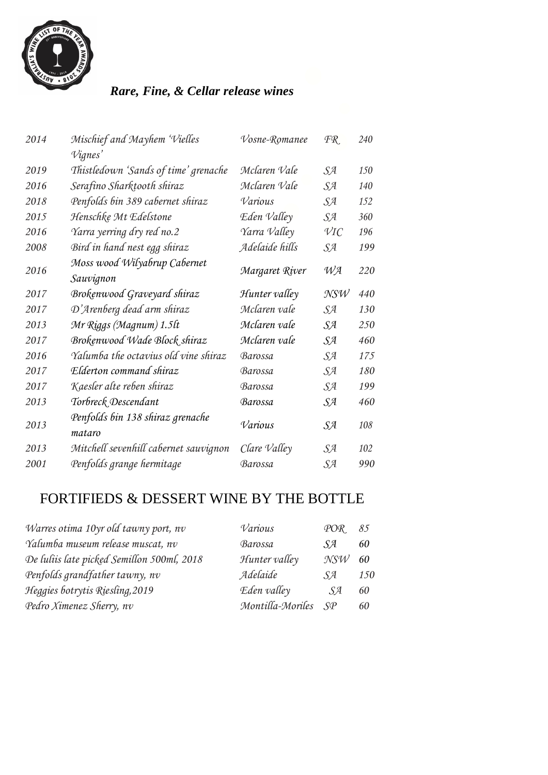

# *Rare, Fine, & Cellar release wines*

| 2014 | Mischief and Mayhem 'Vielles               | Vosne-Romanee  | FR.              | 240 |
|------|--------------------------------------------|----------------|------------------|-----|
|      | <i>Vignes'</i>                             |                |                  |     |
| 2019 | Thistledown 'Sands of time' grenache       | Mclaren Vale   | SЯ               | 150 |
| 2016 | Serafino Sharktooth shiraz                 | Mclaren Vale   | SA               | 140 |
| 2018 | Penfolds bin 389 cabernet shiraz           | Various        | SЯ               | 152 |
| 2015 | Henschke Mt Edelstone                      | Eden Valley    | SA               | 360 |
| 2016 | Yarra yerring dry red no.2                 | Yarra Valley   | $\mathcal{V}$ IC | 196 |
| 2008 | Bird in hand nest egg shiraz               | Adelaide hills | SЯ               | 199 |
| 2016 | Moss wood Wilyabrup Cabernet<br>Sauvignon  | Margaret River | WA               | 220 |
| 2017 | Brokenwood Graveyard shiraz                | Hunter valley  | NSW              | 440 |
| 2017 | D'Arenberg dead arm shiraz                 | Mclaren vale   | SA               | 130 |
| 2013 | Mr Riggs (Magnum) 1.5lt                    | Mclaren vale   | SA               | 250 |
| 2017 | Brokenwood Wade Block shiraz               | Mclaren vale   | SЯ               | 460 |
| 2016 | Yalumba the octavius old vine shiraz       | Barossa        | SЯ               | 175 |
| 2017 | Elderton command shiraz                    | Barossa        | SЯ               | 180 |
| 2017 | Kaesler alte reben shiraz                  | Barossa        | SЯ               | 199 |
| 2013 | Torbreck Descendant                        | Barossa        | SЯ               | 460 |
| 2013 | Penfolds bin 138 shiraz grenache<br>mataro | Various        | SЯ               | 108 |
| 2013 | Mitchell sevenhill cabernet sauvignon      | Clare Valley   | SЯ               | 102 |
| 2001 | Penfolds grange hermitage                  | Barossa        | SЯ               | 990 |
|      |                                            |                |                  |     |

# FORTIFIEDS & DESSERT WINE BY THE BOTTLE

| Various          | POR | 85             |
|------------------|-----|----------------|
| Barossa          | SA. | 60             |
| Hunter valley    | NSW | 60             |
| Adelaide         | SЯ  | <i>150</i>     |
| Eden valley      | SA  | 60             |
| Montilla-Moriles |     | 60             |
|                  |     | $S\mathcal{P}$ |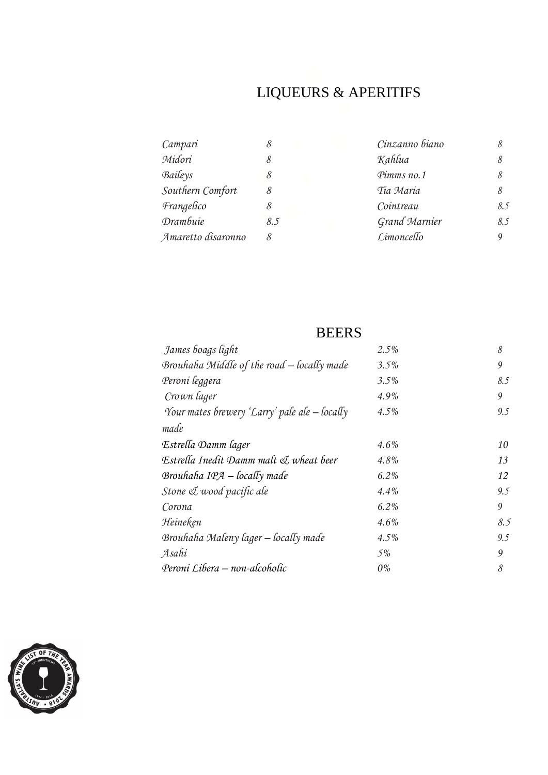# LIQUEURS & APERITIFS

| Campari            | 8   | Cinzanno biano       | 8   |
|--------------------|-----|----------------------|-----|
| Midori             |     | Kahlua               | 8   |
| Baileys            |     | Pimms no.1           | 8   |
| Southern Comfort   | 8   | Tia Maria            | 8   |
| Frangelico         |     | Cointreau            | 8.5 |
| <b>Drambuie</b>    | 8.5 | <b>Grand Marnier</b> | 8.5 |
| Amaretto disaronno |     | Limoncello           | Q   |

# **BEERS**

| James boags light                               | 2.5%    | 8   |
|-------------------------------------------------|---------|-----|
| Brouhaha Middle of the road - locally made      | 3.5%    | 9   |
| Peroni leggera                                  | 3.5%    | 8.5 |
| Crown lager                                     | $4.9\%$ | 9   |
| Your mates brewery 'Larry' pale ale $-$ locally | 4.5%    | 9.5 |
| made                                            |         |     |
| Estrella Damm lager                             | $4.6\%$ | 10  |
| Estrella Inedit Damm malt & wheat beer          | 4.8%    | 13  |
| Brouhaha $IPA -$ locally made                   | 6.2%    | 12  |
| Stone & wood pacific ale                        | $4.4\%$ | 9.5 |
| Corona                                          | $6.2\%$ | 9   |
| Heineken                                        | $4.6\%$ | 8.5 |
| Brouhaha Maleny lager - locally made            | $4.5\%$ | 9.5 |
| Asahi                                           | 5%      | 9   |
| Peroni Libera – non-alcoholic                   | $0\%$   | 8   |

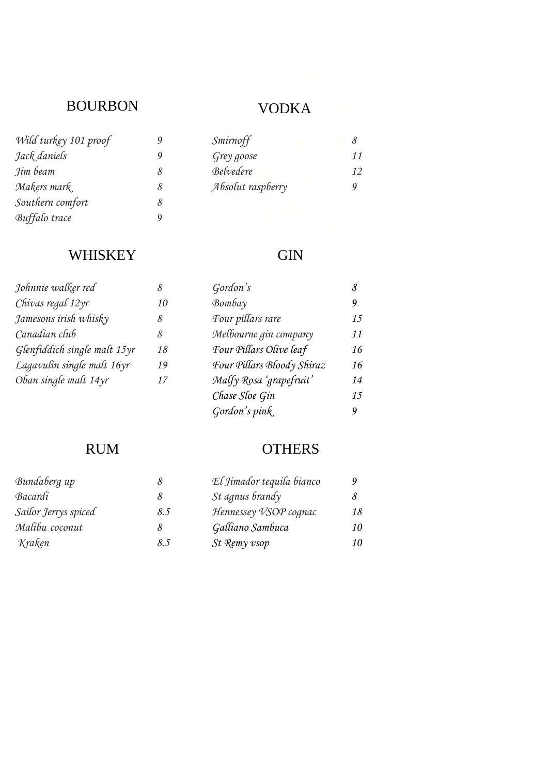# BOURBON VODKA

| Wild turkey 101 proof | G |
|-----------------------|---|
| Jack daniels          | G |
| Jim beam              | δ |
| Makers mark           | δ |
| Southern comfort      | δ |
| Buffalo trace         | g |
|                       |   |

# *Wild turkey 101 proof 9 Smirnoff 8*

| $\cdots$ $\cdots$ |                   |    |
|-------------------|-------------------|----|
| Jack daniels      | Grey goose        | 11 |
| Jim beam          | Belvedere         | 12 |
| Makers mark       | Absolut raspberry |    |
|                   |                   |    |

#### WHISKEY **GIN**

| 8  | Gordon's                   | 8  |
|----|----------------------------|----|
| 10 | $\mathcal{B}$ ombay        | 9  |
| 8  | Four pillars rare          | 15 |
| 8  | Melbourne gin company      | 11 |
| 18 | Four Pillars Olive leaf    | 16 |
| 19 | Four Pillars Bloody Shiraz | 16 |
| 17 | Malfy Rosa 'grapefruit'    | 14 |
|    | Chase Sloe Gin             | 15 |
|    | Gordon's pink              | 9  |
|    |                            |    |

#### RUM OTHERS

| Bundaberg up         |     | El Jimador tequila bianco |    |
|----------------------|-----|---------------------------|----|
| Bacardi              |     | <i>St agnus brandy</i>    |    |
| Sailor Jerrys spiced | 8.5 | Hennessey VSOP cognac     | 18 |
| Malibu coconut       | 8   | Galliano Sambuca          | 10 |
| Kraken               | 8.5 | St Remy vsop              | 10 |
|                      |     |                           |    |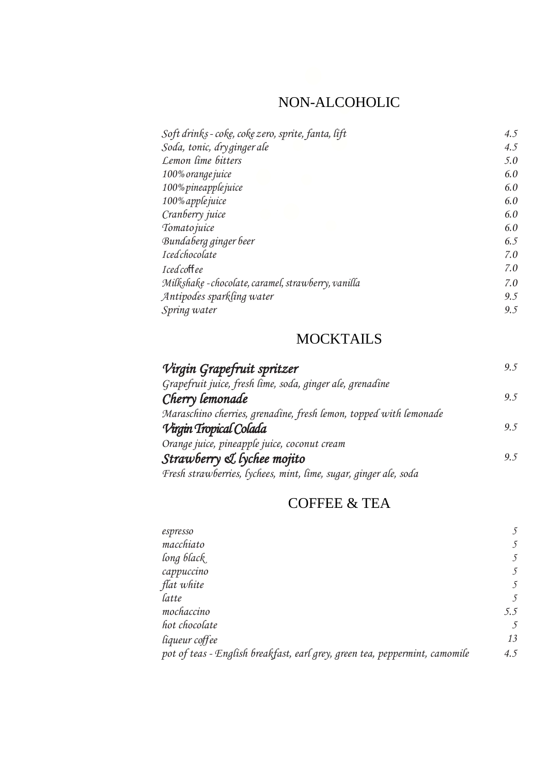# NON-ALCOHOLIC

| Soft drinks - coke, coke zero, sprite, fanta, lift  | 4.5 |
|-----------------------------------------------------|-----|
| Soda, tonic, dryginger ale                          | 4.5 |
| Lemon lime bitters                                  | 5.0 |
| 100% orange juice                                   | 6.0 |
| 100% pineapplejuice                                 | 6.0 |
| 100% apple juice                                    | 6.0 |
| Cranberry juice                                     | 6.0 |
| Tomato juice                                        | 6.0 |
| Bundaberg ginger beer                               | 6.5 |
| Icedchocolate                                       | 7.0 |
| Iced coffee                                         | 7.0 |
| Milkshake - chocolate, caramel, strawberry, vanilla | 7.0 |
| Antipodes sparkling water                           | 9.5 |
| Spring water                                        | 9.5 |

#### **MOCKTAILS**

| Virgin Grapefruit spritzer                                        | 9.5 |
|-------------------------------------------------------------------|-----|
| Grapefruit juice, fresh lime, soda, ginger ale, grenadine         |     |
| Cherry lemonade                                                   | 9.5 |
| Maraschino cherries, grenadine, fresh lemon, topped with lemonade |     |
| Virgin Tropical Colada                                            | 9.5 |
| Orange juice, pineapple juice, coconut cream                      |     |
| Strawberry & lychee mojito                                        | 9.5 |
| Fresh strawberries, lychees, mint, lime, sugar, ginger ale, soda  |     |

# COFFEE & TEA

| espresso                                                                    |     |
|-----------------------------------------------------------------------------|-----|
| macchiato                                                                   |     |
| long black                                                                  |     |
| cappuccino                                                                  |     |
| flat white                                                                  |     |
| latte                                                                       |     |
| mochaccino                                                                  | 5.5 |
| hot chocolate                                                               | -5  |
| liqueur coffee                                                              | 13  |
| pot of teas - English breakfast, earl grey, green tea, peppermint, camomile | 4.5 |